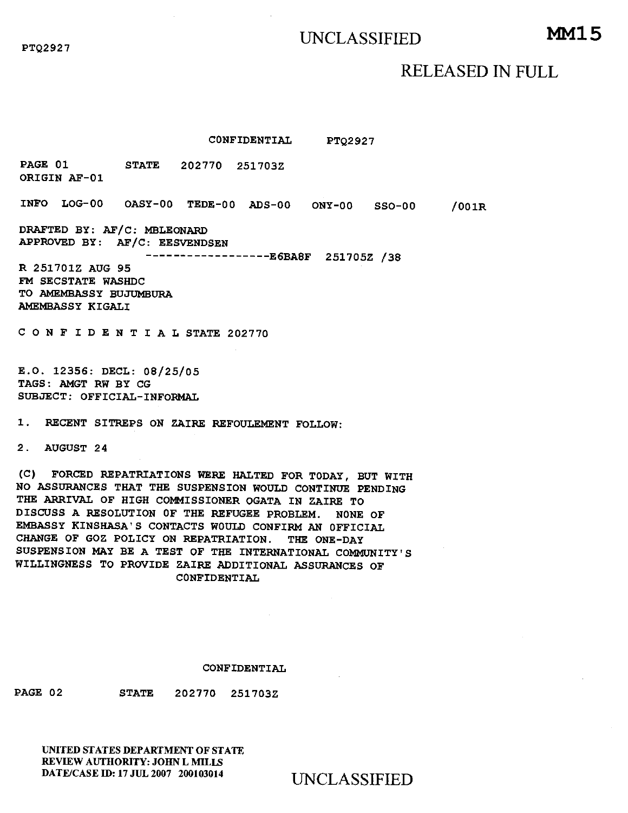# UNCLASSIFIED **MM15**

RELEASED IN FULL

**CONFIDENTIAL PTQ2927** 

**PAGE 01 STATE 202770 251703Z ORIGIN AF-01** 

**INFO LOG-00 OASY-00 TEDE-00 ADS-00 ONY-00 SSO-00 /001R** 

**DRAFTED BY: AF/C: MBLEONARD APPROVED BY: AF/C: EESVENDSEN** 

**E6BA8F 251705Z** /38

**R 251701Z AUG 95 FM SECSTATE WASHDC TO AMEMBASSY BUJUMBURA AMEMBASSY KIGALI** 

**CONFIDENTIALSTATE 202770** 

**E.O. 12356: DECL: 08/25/05 TAGS: AMGT RW BY CG SUBJECT: OFFICIAL-INFORMAL** 

**1. RECENT SITREPS ON ZAIRE REFOULEMENT FOLLOW:** 

**2. AUGUST 24** 

**(C) FORCED REPATRIATIONS WERE HALTED FOR TODAY, BUT WITH NO ASSURANCES THAT THE SUSPENSION WOULD CONTINUE PENDING THE ARRIVAL OF HIGH COMMISSIONER OGATA IN ZAIRE TO DISCUSS A RESOLUTION OF THE REFUGEE PROBLEM. NONE OF EMBASSY KINSHASA'S CONTACTS WOULD CONFIRM AN OFFICIAL CHANGE OF GOZ POLICY ON REPATRIATION. THE ONE-DAY SUSPENSION MAY BE A TEST OF THE INTERNATIONAL COMMUNITY'S WILLINGNESS TO PROVIDE ZAIRE ADDITIONAL ASSURANCES OF CONFIDENTIAL** 

### **CONFIDENTIAL**

**PAGE 02 STATE 202770 251703Z** 

UNITED STATES DEPARTMENT OF STATE REVIEW AUTHORITY: JOHN L MILLS DATE/CASE ID: 17 JUL 2007 200103014 UNCLASSIFIED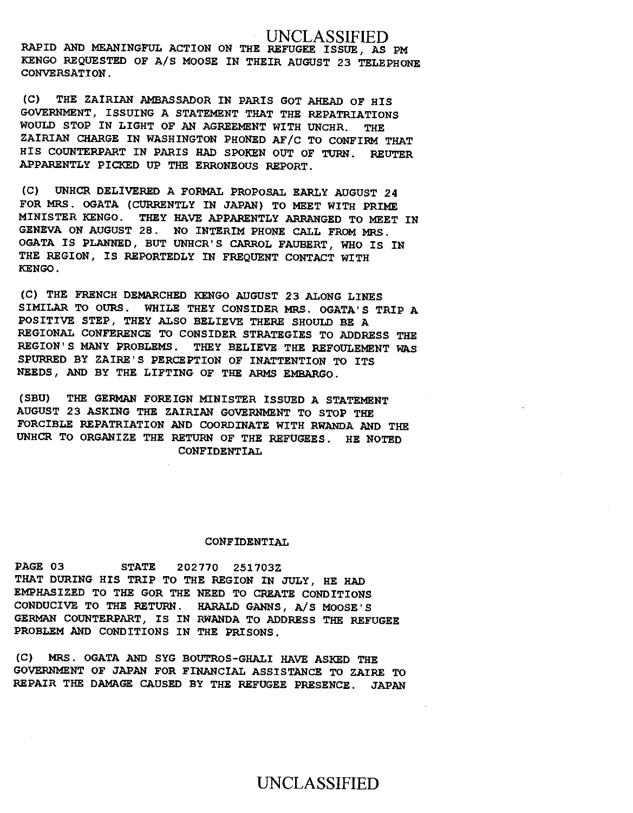UNCLASSIFIED **RAPID AND MEANINGFUL ACTION ON THE REFUGEE ISSUE, AS PM KENGO REQUESTED OF A/S MOOSE IN THEIR AUGUST 23 TELEPHONE CONVERSATION.** 

**(C) THE ZAIRIAN AMBASSADOR IN PARIS GOT AHEAD OF HIS GOVERNMENT, ISSUING A STATEMENT THAT THE REPATRIATIONS WOULD STOP IN LIGHT OF AN AGREEMENT WITH UNCHR. THE ZAIRIAN CHARGE IN WASHINGTON PHONED AF/C TO CONFIRM THAT HIS COUNTERPART IN PARIS HAD SPOKEN OUT OF TURN. REUTER APPARENTLY PICKED UP THE ERRONEOUS REPORT.** 

**(C) UNHCR DELIVERED A FORMAL PROPOSAL EARLY AUGUST 24 FOR MRS. OGATA (CURRENTLY IN JAPAN) TO MEET WITH PRIME MINISTER KENGO. THEY HAVE APPARENTLY ARRANGED TO MEET IN GENEVA ON AUGUST 28. NO INTERIM PHONE CALL FROM MRS. OGATA IS PLANNED, BUT UNHCR'S CARROL FAUBERT, WHO IS IN THE REGION, IS REPORTEDLY IN FREQUENT CONTACT WITH KENGO.** 

**(C) THE FRENCH DEMARCHED KENGO AUGUST 23 ALONG LINES SIMILAR TO OURS. WHILE THEY CONSIDER MRS. OGATA'S TRIP A POSITIVE STEP, THEY ALSO BELIEVE THERE SHOULD BE A REGIONAL CONFERENCE TO CONSIDER STRATEGIES TO ADDRESS THE REGION'S MANY PROBLEMS. THEY BELIEVE THE REFOULEMENT WAS SPURRED BY ZAIRE'S PERCEPTION OF INATTENTION TO ITS NEEDS, AND BY THE LIFTING OF THE** ARMS **EMBARGO.** 

**(SBU) THE GERMAN FOREIGN MINISTER ISSUED A STATEMENT AUGUST 23 ASKING THE ZAIRIAN GOVERNMENT TO STOP THE FORCIBLE REPATRIATION AND COORDINATE WITH RWANDA AND THE UNHCR TO ORGANIZE THE RETURN OF THE REFUGEES. HE NOTED CONFIDENTIAL** 

### **CONFIDENTIAL**

**PAGE 03 STATE 202770 251703Z THAT DURING HIS TRIP TO THE REGION IN JULY, HE HAD EMPHASIZED TO THE GOR THE NEED TO CREATE CONDITIONS CONDUCIVE TO THE RETURN. HARALD GANNS, A/S MOOSE'S GERMAN COUNTERPART, IS IN RWANDA TO ADDRESS THE REFUGEE PROBLEM AND CONDITIONS IN THE PRISONS.** 

**(C) MRS. OGATA AND SYG BOUTROS-GHALI HAVE ASKED THE GOVERNMENT OF JAPAN FOR FINANCIAL ASSISTANCE TO ZAIRE TO REPAIR THE DAMAGE CAUSED BY THE REFUGEE PRESENCE. JAPAN**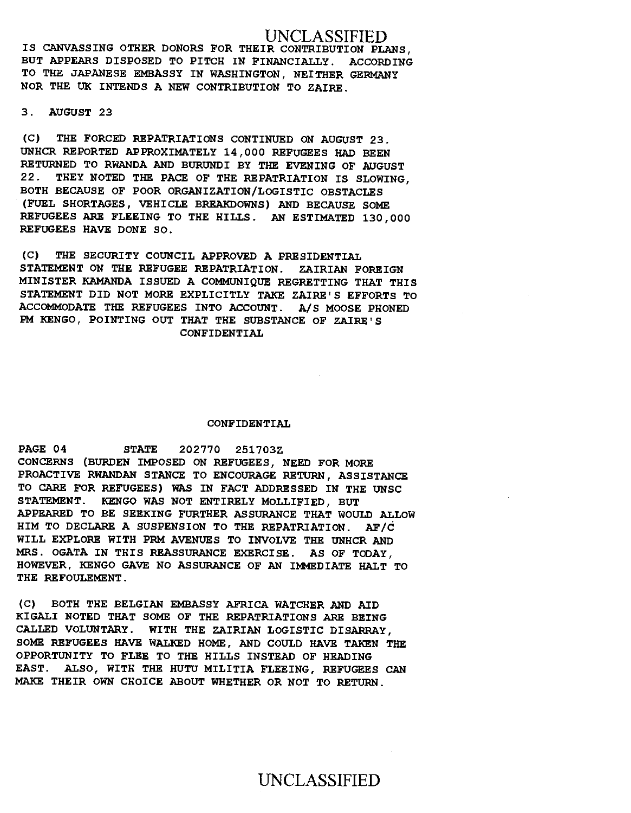UNCLASSIFIED IS CANVASSING OTHER DONORS FOR THEIR CONTRIBUTION PLANS, BUT APPEARS DISPOSED TO PITCH IN FINANCIALLY. ACCORDING TO THE JAPANESE EMBASSY IN WASHINGTON, NEITHER GERMANY NOR THE UK INTENDS A NEW CONTRIBUTION TO ZAIRE.

3. AUGUST 23

(C) THE FORCED REPATRIATIONS CONTINUED ON AUGUST 23. UNHCR REPORTED APPROXIMATELY 14,000 REFUGEES HAD BEEN RETURNED TO RWANDA AND BURUNDI BY THE EVENING OF AUGUST 22. THEY NOTED THE PACE OF THE REPATRIATION IS SLOWING, BOTH BECAUSE OF POOR ORGANIZATION/LOGISTIC OBSTACLES (FUEL SHORTAGES, VEHICLE BREAKDOWNS) AND BECAUSE SOME REFUGEES ARE FLEEING TO THE HILLS. AN ESTIMATED 130,000 REFUGEES HAVE DONE SO.

(C) THE SECURITY COUNCIL APPROVED A PRESIDENTIAL STATEMENT ON THE REFUGEE REPATRIATION. ZAIRIAN FOREIGN MINISTER KAMANDA ISSUED A COMMUNIQUE REGRETTING THAT THIS STATEMENT DID NOT MORE EXPLICITLY TAKE ZAIRE'S EFFORTS TO ACCOMMODATE THE REFUGEES INTO ACCOUNT. A/S MOOSE PHONED PM KENGO, POINTING OUT THAT THE SUBSTANCE OF ZAIRE'S CONFIDENTIAL

### CONFIDENTIAL

PAGE 04 STATE 202770 251703Z CONCERNS (BURDEN IMPOSED ON REFUGEES, NEED FOR MORE PROACTIVE RWANDAN STANCE TO ENCOURAGE RETURN, ASSISTANCE TO CARE FOR REFUGEES) WAS IN FACT ADDRESSED IN THE UNSC STATEMENT. KENGO WAS NOT ENTIRELY MOLLIFIED, BUT APPEARED TO BE SEEKING FURTHER ASSURANCE THAT WOULD ALLOW HIM TO DECLARE A SUSPENSION TO THE REPATRIATION. AF/C WILL EXPLORE WITH PRM AVENUES TO INVOLVE THE UNHCR AND MRS. OGATA IN THIS REASSURANCE EXERCISE. AS OF TODAY, HOWEVER, KENGO GAVE NO ASSURANCE OF AN IMMEDIATE HALT TO THE REFOULEMENT.

(C) BOTH THE BELGIAN EMBASSY AFRICA WATCHER AND AID KIGALI NOTED THAT SOME OF THE REPATRIATIONS ARE BEING CALLED VOLUNTARY. WITH THE ZAIRIAN LOGISTIC DISARRAY, SOME REFUGEES HAVE WALKED HOME, AND COULD HAVE TAKEN THE OPPORTUNITY TO FLEE TO THE HILLS INSTEAD OF HEADING EAST. ALSO, WITH THE HUTU MILITIA FLEEING, REFUGEES CAN MAKE THEIR OWN CHOICE ABOUT WHETHER OR NOT TO RETURN.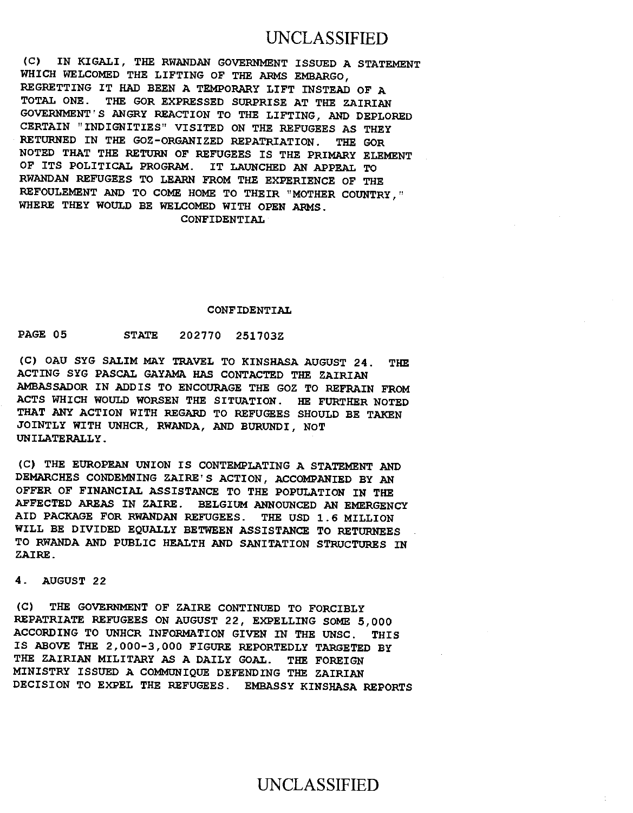## UNCLASSIFIED

(C) IN KIGALI, THE RWANDAN GOVERNMENT ISSUED A STATEMENT WHICH WELCOMED THE LIFTING OF THE ARMS EMBARGO, REGRETTING IT HAD BEEN A TEMPORARY LIFT INSTEAD OF A TOTAL ONE. THE GOR EXPRESSED SURPRISE AT THE ZAIRIAN GOVERNMENT'S ANGRY REACTION TO THE LIFTING, AND DEPLORED CERTAIN "INDIGNITIES" VISITED ON THE REFUGEES AS THEY RETURNED IN THE GOZ-ORGANIZED REPATRIATION. THE GOR NOTED THAT THE RETURN OF REFUGEES IS THE PRIMARY ELEMENT OF ITS POLITICAL PROGRAM. IT LAUNCHED AN APPEAL TO RWANDAN REFUGEES TO LEARN FROM THE EXPERIENCE OF THE REFOULEMENT AND TO COME HOME TO THEIR "MOTHER COUNTRY," WHERE THEY WOULD BE WELCOMED WITH OPEN ARMS. CONFIDENTIAL

#### CONFIDENTIAL

## PAGE 05 STATE 202770 251703Z

(C) OAU SYG SALIM MAY TRAVEL TO KINSHASA AUGUST 24. THE ACTING SYG PASCAL GAYAMA HAS CONTACTED THE ZAIRIAN AMBASSADOR IN ADDIS TO ENCOURAGE THE GOZ TO REFRAIN FROM ACTS WHICH WOULD WORSEN THE SITUATION. HE FURTHER NOTED THAT ANY ACTION WITH REGARD TO REFUGEES SHOULD BE TAKEN JOINTLY WITH UNHCR, RWANDA, AND BURUNDI, NOT UNILATERALLY.

(C) THE EUROPEAN UNION IS CONTEMPLATING A STATEMENT AND DEMARCHES CONDEMNING ZAIRE'S ACTION, ACCOMPANIED BY AN OFFER OF FINANCIAL ASSISTANCE TO THE POPULATION IN THE AFFECTED AREAS IN ZAIRE. BELGIUM ANNOUNCED AN EMERGENCY AID PACKAGE FOR RWANDAN REFUGEES. THE USD 1.6 MILLION WILL BE DIVIDED EQUALLY BETWEEN ASSISTANCE TO RETURNEES TO RWANDA AND PUBLIC HEALTH AND SANITATION STRUCTURES IN ZAIRE.

4. AUGUST 22

(C) THE GOVERNMENT OF ZAIRE CONTINUED TO FORCIBLY REPATRIATE REFUGEES ON AUGUST 22, EXPELLING SOME 5,000 ACCORDING TO UNHCR INFORMATION GIVEN IN THE UNSC. THIS IS ABOVE THE 2,000-3,000 FIGURE REPORTEDLY TARGETED BY THE ZAIRIAN MILITARY AS A DAILY GOAL. THE FOREIGN MINISTRY ISSUED A COMMUNIQUE DEFENDING THE ZAIRIAN DECISION TO EXPEL THE REFUGEES. EMBASSY KINSHASA REPORTS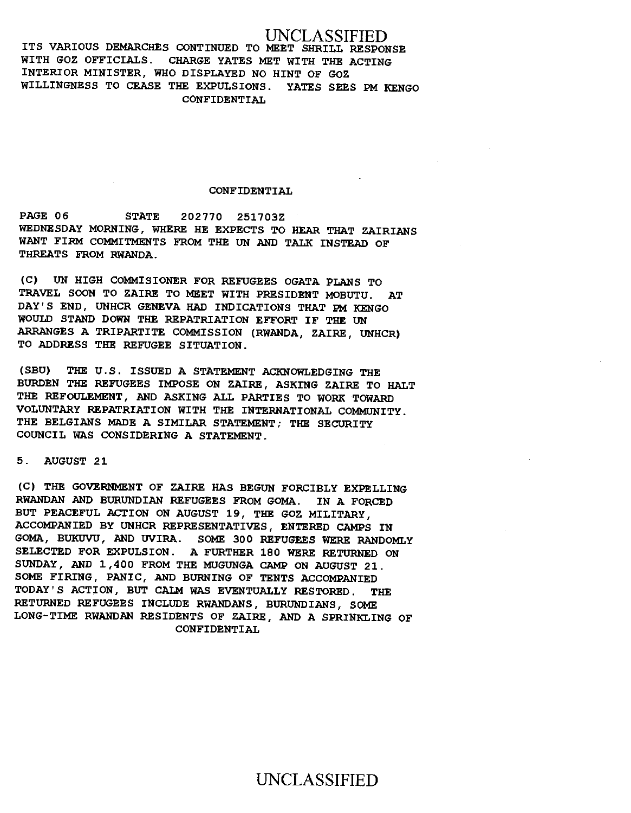## UNCLASSIFIED

ITS VARIOUS DEMARCHES CONTINUED TO MEET SHRILL RESPONSE WITH GOZ OFFICIALS. CHARGE YATES MET WITH THE ACTING INTERIOR MINISTER, WHO DISPLAYED NO HINT OF GOZ WILLINGNESS TO CEASE THE EXPULSIONS. YATES SEES PM KENGO CONFIDENTIAL

### CONFIDENTIAL

PAGE 06 STATE 202770 251703Z WEDNESDAY MORNING, WHERE HE EXPECTS TO HEAR THAT ZAIRIANS WANT FIRM COMMITMENTS FROM THE UN AND TALK INSTEAD OF THREATS FROM RWANDA.

(C) UN HIGH COMMISIONER FOR REFUGEES OGATA PLANS TO TRAVEL SOON TO ZAIRE TO MEET WITH PRESIDENT MOBUTU. AT DAY'S END, UNHCR GENEVA HAD INDICATIONS THAT PM KENGO WOULD STAND DOWN THE REPATRIATION EFFORT IF THE UN ARRANGES A TRIPARTITE COMMISSION (RWANDA, ZAIRE, UNHCR) TO ADDRESS THE REFUGEE SITUATION.

(SBU) THE U.S. ISSUED A STATEMENT ACKNOWLEDGING THE BURDEN THE REFUGEES IMPOSE ON ZAIRE, ASKING ZAIRE TO HALT THE REFOULEMENT, AND ASKING ALL PARTIES TO WORK TOWARD VOLUNTARY REPATRIATION WITH THE INTERNATIONAL COMMUNITY. THE BELGIANS MADE A SIMILAR STATEMENT; THE SECURITY COUNCIL WAS CONSIDERING A STATEMENT.

5. AUGUST 21

(C) THE GOVERNMENT OF ZAIRE HAS BEGUN FORCIBLY EXPELLING RWANDAN AND BURUNDIAN REFUGEES FROM GOMA. IN A FORCED BUT PEACEFUL ACTION ON AUGUST 19, THE GOZ MILITARY, ACCOMPANIED BY UNHCR REPRESENTATIVES, ENTERED CAMPS IN GOMA, BUKUVU, AND UVIRA. SOME 300 REFUGEES WERE RANDOMLY SELECTED FOR EXPULSION. A FURTHER 180 WERE RETURNED ON SUNDAY, AND 1,400 FROM THE MUGUNGA CAMP ON AUGUST 21. SOME FIRING, PANIC, AND BURNING OF TENTS ACCOMPANIED TODAY'S ACTION, BUT CALM WAS EVENTUALLY RESTORED. THE RETURNED REFUGEES INCLUDE RWANDANS, BURUNDIANS, SOME LONG-TIME RWANDAN RESIDENTS OF ZAIRE, AND A SPRINKLING OF CONFIDENTIAL